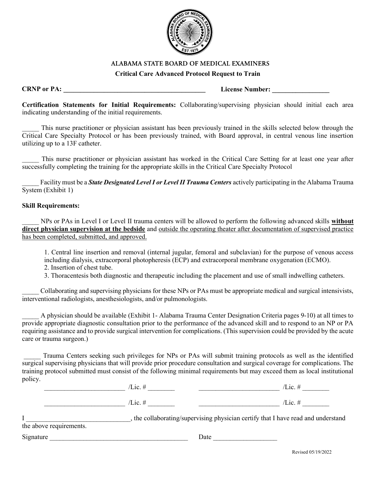

## ALABAMA STATE BOARD OF MEDICAL EXAMINERS

## Critical Care Advanced Protocol Request to Train

CRNP or PA: <u>License Number:</u> Example 2014 **License** Number:  $\blacksquare$ 

Certification Statements for Initial Requirements: Collaborating/supervising physician should initial each area indicating understanding of the initial requirements.

This nurse practitioner or physician assistant has been previously trained in the skills selected below through the Critical Care Specialty Protocol or has been previously trained, with Board approval, in central venous line insertion utilizing up to a 13F catheter.

This nurse practitioner or physician assistant has worked in the Critical Care Setting for at least one year after successfully completing the training for the appropriate skills in the Critical Care Specialty Protocol

Facility must be a State Designated Level I or Level II Trauma Centers actively participating in the Alabama Trauma System (Exhibit 1)

## Skill Requirements:

NPs or PAs in Level I or Level II trauma centers will be allowed to perform the following advanced skills without direct physician supervision at the bedside and outside the operating theater after documentation of supervised practice has been completed, submitted, and approved.

1. Central line insertion and removal (internal jugular, femoral and subclavian) for the purpose of venous access including dialysis, extracorporal photopheresis (ECP) and extracorporal membrane oxygenation (ECMO).

- 2. Insertion of chest tube.
- 3. Thoracentesis both diagnostic and therapeutic including the placement and use of small indwelling catheters.

\_\_\_\_\_ Collaborating and supervising physicians for these NPs or PAs must be appropriate medical and surgical intensivists, interventional radiologists, anesthesiologists, and/or pulmonologists.

\_\_\_\_\_ A physician should be available (Exhibit 1- Alabama Trauma Center Designation Criteria pages 9-10) at all times to provide appropriate diagnostic consultation prior to the performance of the advanced skill and to respond to an NP or PA requiring assistance and to provide surgical intervention for complications. (This supervision could be provided by the acute care or trauma surgeon.)

 \_\_\_\_\_ Trauma Centers seeking such privileges for NPs or PAs will submit training protocols as well as the identified surgical supervising physicians that will provide prior procedure consultation and surgical coverage for complications. The training protocol submitted must consist of the following minimal requirements but may exceed them as local institutional policy.

| $\sqrt{L}$ ic. # | /Lie $\pm$    |
|------------------|---------------|
| $/Lic.$ #        | $/Lic.$ #     |
|                  | $\sim$ $\sim$ |

I collaborating/supervising physician certify that I have read and understand the above requirements.

Signature **Example 2** and the set of  $\overline{a}$  and  $\overline{b}$  are  $\overline{c}$  being  $\overline{a}$  and  $\overline{b}$  are  $\overline{c}$  and  $\overline{a}$  are  $\overline{c}$  and  $\overline{a}$  and  $\overline{a}$  are  $\overline{c}$  and  $\overline{a}$  and  $\overline{a}$  and  $\overline{a}$  are

Revised 05/19/2022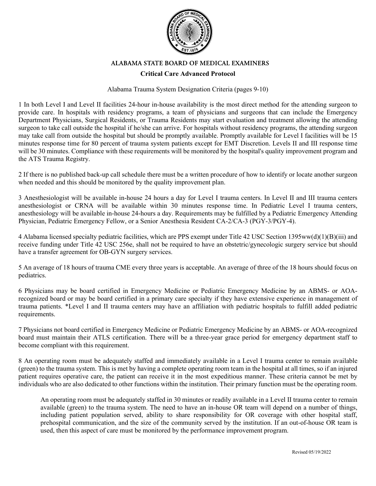

## ALABAMA STATE BOARD OF MEDICAL EXAMINERS

## **Critical Care Advanced Protocol**

#### Alabama Trauma System Designation Criteria (pages 9-10)

1 In both Level I and Level II facilities 24-hour in-house availability is the most direct method for the attending surgeon to provide care. In hospitals with residency programs, a team of physicians and surgeons that can include the Emergency Department Physicians, Surgical Residents, or Trauma Residents may start evaluation and treatment allowing the attending surgeon to take call outside the hospital if he/she can arrive. For hospitals without residency programs, the attending surgeon may take call from outside the hospital but should be promptly available. Promptly available for Level I facilities will be 15 minutes response time for 80 percent of trauma system patients except for EMT Discretion. Levels II and III response time will be 30 minutes. Compliance with these requirements will be monitored by the hospital's quality improvement program and the ATS Trauma Registry.

2 If there is no published back-up call schedule there must be a written procedure of how to identify or locate another surgeon when needed and this should be monitored by the quality improvement plan.

3 Anesthesiologist will be available in-house 24 hours a day for Level I trauma centers. In Level II and III trauma centers anesthesiologist or CRNA will be available within 30 minutes response time. In Pediatric Level I trauma centers, anesthesiology will be available in-house 24-hours a day. Requirements may be fulfilled by a Pediatric Emergency Attending Physician, Pediatric Emergency Fellow, or a Senior Anesthesia Resident CA-2/CA-3 (PGY-3/PGY-4).

4 Alabama licensed specialty pediatric facilities, which are PPS exempt under Title 42 USC Section 1395ww(d)(1)(B)(iii) and receive funding under Title 42 USC 256e, shall not be required to have an obstetric/gynecologic surgery service but should have a transfer agreement for OB-GYN surgery services.

5 An average of 18 hours of trauma CME every three years is acceptable. An average of three of the 18 hours should focus on pediatrics.

6 Physicians may be board certified in Emergency Medicine or Pediatric Emergency Medicine by an ABMS- or AOArecognized board or may be board certified in a primary care specialty if they have extensive experience in management of trauma patients. \*Level I and II trauma centers may have an affiliation with pediatric hospitals to fulfill added pediatric requirements.

7 Physicians not board certified in Emergency Medicine or Pediatric Emergency Medicine by an ABMS- or AOA-recognized board must maintain their ATLS certification. There will be a three-year grace period for emergency department staff to become compliant with this requirement.

8 An operating room must be adequately staffed and immediately available in a Level I trauma center to remain available (green) to the trauma system. This is met by having a complete operating room team in the hospital at all times, so if an injured patient requires operative care, the patient can receive it in the most expeditious manner. These criteria cannot be met by individuals who are also dedicated to other functions within the institution. Their primary function must be the operating room.

An operating room must be adequately staffed in 30 minutes or readily available in a Level II trauma center to remain available (green) to the trauma system. The need to have an in-house OR team will depend on a number of things, including patient population served, ability to share responsibility for OR coverage with other hospital staff, prehospital communication, and the size of the community served by the institution. If an out-of-house OR team is used, then this aspect of care must be monitored by the performance improvement program.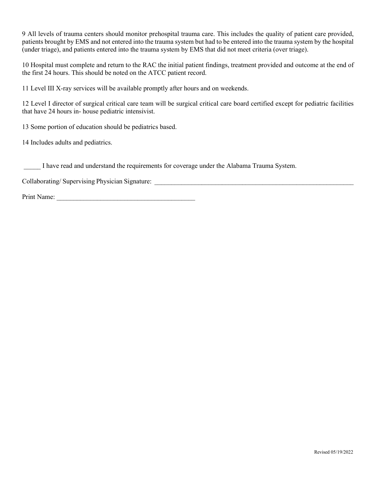9 All levels of trauma centers should monitor prehospital trauma care. This includes the quality of patient care provided, patients brought by EMS and not entered into the trauma system but had to be entered into the trauma system by the hospital (under triage), and patients entered into the trauma system by EMS that did not meet criteria (over triage).

10 Hospital must complete and return to the RAC the initial patient findings, treatment provided and outcome at the end of the first 24 hours. This should be noted on the ATCC patient record.

11 Level III X-ray services will be available promptly after hours and on weekends.

12 Level I director of surgical critical care team will be surgical critical care board certified except for pediatric facilities that have 24 hours in- house pediatric intensivist.

13 Some portion of education should be pediatrics based.

14 Includes adults and pediatrics.

\_\_\_\_\_ I have read and understand the requirements for coverage under the Alabama Trauma System.

Collaborating/ Supervising Physician Signature: \_\_\_\_\_\_\_\_\_\_\_\_\_\_\_\_\_\_\_\_\_\_\_\_\_\_\_\_\_\_\_\_\_

Print Name: \_\_\_\_\_\_\_\_\_\_\_\_\_\_\_\_\_\_\_\_\_\_\_\_\_\_\_\_\_\_\_\_\_\_\_\_\_\_\_\_\_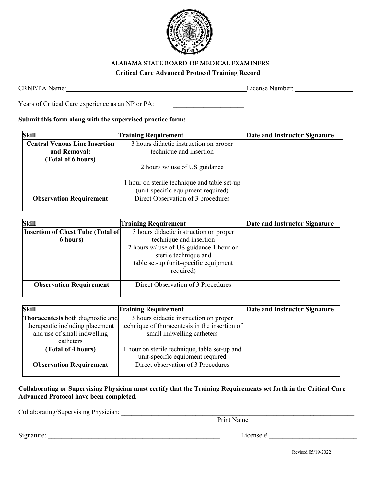

## ALABAMA STATE BOARD OF MEDICAL EXAMINERS **Critical Care Advanced Protocol Training Record**

CRNP/PA Name: <br>
License Number:

Years of Critical Care experience as an NP or PA: \_\_\_\_\_\_\_\_\_\_\_\_\_\_\_\_\_\_\_\_\_\_\_\_\_\_\_\_\_\_

# **Submit this form along with the supervised practice form:**

| Skill                                | <b>Training Requirement</b>                                                        | Date and Instructor Signature |
|--------------------------------------|------------------------------------------------------------------------------------|-------------------------------|
| <b>Central Venous Line Insertion</b> | 3 hours didactic instruction on proper                                             |                               |
| and Removal:                         | technique and insertion                                                            |                               |
| (Total of 6 hours)                   |                                                                                    |                               |
|                                      | 2 hours w/ use of US guidance                                                      |                               |
|                                      | 1 hour on sterile technique and table set-up<br>(unit-specific equipment required) |                               |
| <b>Observation Requirement</b>       | Direct Observation of 3 procedures                                                 |                               |
|                                      |                                                                                    |                               |

| Skill                                    | <b>Training Requirement</b>                                                                                            | Date and Instructor Signature |
|------------------------------------------|------------------------------------------------------------------------------------------------------------------------|-------------------------------|
| <b>Insertion of Chest Tube (Total of</b> | 3 hours didactic instruction on proper                                                                                 |                               |
| 6 hours)                                 | technique and insertion                                                                                                |                               |
|                                          | 2 hours w/ use of US guidance 1 hour on<br>sterile technique and<br>table set-up (unit-specific equipment<br>required) |                               |
| <b>Observation Requirement</b>           | Direct Observation of 3 Procedures                                                                                     |                               |

| Skill                                    | <b>Training Requirement</b>                    | Date and Instructor Signature |
|------------------------------------------|------------------------------------------------|-------------------------------|
| <b>Thoracentesis</b> both diagnostic and | 3 hours didactic instruction on proper         |                               |
| therapeutic including placement          | technique of thoracentesis in the insertion of |                               |
| and use of small indwelling              | small indwelling catheters                     |                               |
| catheters                                |                                                |                               |
| (Total of 4 hours)                       | 1 hour on sterile technique, table set-up and  |                               |
|                                          | unit-specific equipment required               |                               |
| <b>Observation Requirement</b>           | Direct observation of 3 Procedures             |                               |
|                                          |                                                |                               |

## **Collaborating or Supervising Physician must certify that the Training Requirements set forth in the Critical Care Advanced Protocol have been completed.**

Collaborating/Supervising Physician: \_\_\_\_\_\_\_\_\_\_\_\_\_\_\_\_\_\_\_\_\_\_\_\_\_\_\_\_\_\_\_\_\_\_\_\_\_\_\_\_\_\_\_\_\_\_\_\_\_\_\_\_\_\_\_\_\_\_\_\_\_\_\_\_\_\_\_\_\_

Print Name

 $Signature: \_\_\_\_\_\_$ 

Revised 05/19/2022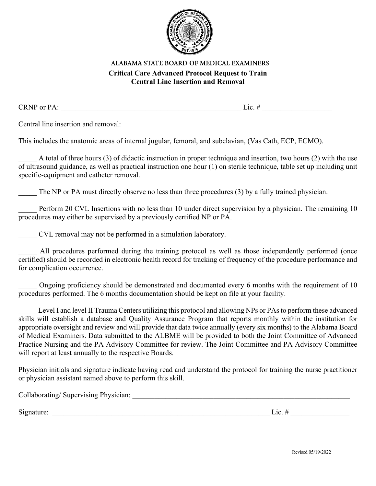

# ALABAMA STATE BOARD OF MEDICAL EXAMINERS **Critical Care Advanced Protocol Request to Train Central Line Insertion and Removal**

CRNP or PA:  $\Box$ 

Central line insertion and removal:

This includes the anatomic areas of internal jugular, femoral, and subclavian, (Vas Cath, ECP, ECMO).

A total of three hours (3) of didactic instruction in proper technique and insertion, two hours (2) with the use of ultrasound guidance, as well as practical instruction one hour (1) on sterile technique, table set up including unit specific-equipment and catheter removal.

The NP or PA must directly observe no less than three procedures (3) by a fully trained physician.

Perform 20 CVL Insertions with no less than 10 under direct supervision by a physician. The remaining 10 procedures may either be supervised by a previously certified NP or PA.

\_\_\_\_\_ CVL removal may not be performed in a simulation laboratory.

All procedures performed during the training protocol as well as those independently performed (once certified) should be recorded in electronic health record for tracking of frequency of the procedure performance and for complication occurrence.

Ongoing proficiency should be demonstrated and documented every 6 months with the requirement of 10 procedures performed. The 6 months documentation should be kept on file at your facility.

Level I and level II Trauma Centers utilizing this protocol and allowing NPs or PAs to perform these advanced skills will establish a database and Quality Assurance Program that reports monthly within the institution for appropriate oversight and review and will provide that data twice annually (every six months) to the Alabama Board of Medical Examiners. Data submitted to the ALBME will be provided to both the Joint Committee of Advanced Practice Nursing and the PA Advisory Committee for review. The Joint Committee and PA Advisory Committee will report at least annually to the respective Boards.

Physician initials and signature indicate having read and understand the protocol for training the nurse practitioner or physician assistant named above to perform this skill.

Collaborating/ Supervising Physician: \_\_\_\_\_\_\_\_\_\_\_\_\_\_\_\_\_\_\_\_\_\_\_\_\_\_\_\_\_\_\_\_\_\_\_\_\_\_\_\_\_\_\_\_\_\_\_\_\_\_\_\_\_\_\_\_\_\_\_

Signature:  $\Box$ 

Revised 05/19/2022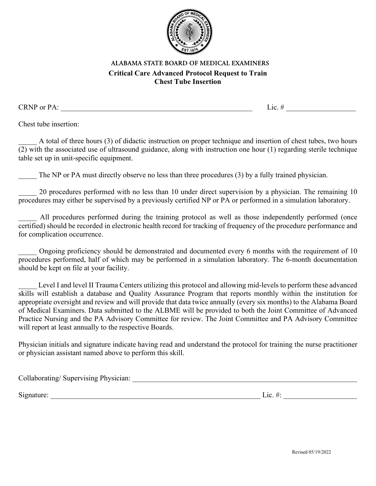

# ALABAMA STATE BOARD OF MEDICAL EXAMINERS **Critical Care Advanced Protocol Request to Train Chest Tube Insertion**

CRNP or PA:  $\Box$ 

Chest tube insertion:

\_\_\_\_\_ A total of three hours (3) of didactic instruction on proper technique and insertion of chest tubes, two hours (2) with the associated use of ultrasound guidance, along with instruction one hour (1) regarding sterile technique table set up in unit-specific equipment.

The NP or PA must directly observe no less than three procedures (3) by a fully trained physician.

20 procedures performed with no less than 10 under direct supervision by a physician. The remaining 10 procedures may either be supervised by a previously certified NP or PA or performed in a simulation laboratory.

All procedures performed during the training protocol as well as those independently performed (once certified) should be recorded in electronic health record for tracking of frequency of the procedure performance and for complication occurrence.

Ongoing proficiency should be demonstrated and documented every 6 months with the requirement of 10 procedures performed, half of which may be performed in a simulation laboratory. The 6-month documentation should be kept on file at your facility.

Level I and level II Trauma Centers utilizing this protocol and allowing mid-levels to perform these advanced skills will establish a database and Quality Assurance Program that reports monthly within the institution for appropriate oversight and review and will provide that data twice annually (every six months) to the Alabama Board of Medical Examiners. Data submitted to the ALBME will be provided to both the Joint Committee of Advanced Practice Nursing and the PA Advisory Committee for review. The Joint Committee and PA Advisory Committee will report at least annually to the respective Boards.

Physician initials and signature indicate having read and understand the protocol for training the nurse practitioner or physician assistant named above to perform this skill.

| Collaborating/Supervising Physician: |  |
|--------------------------------------|--|
|                                      |  |

 $Signature: \n\begin{tabular}{c|c|c|c|c} \hline \hline \hline \hline \hline \hline \hline \end{tabular}$